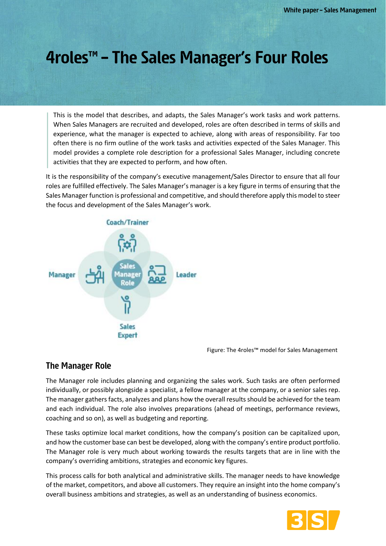# 4roles<sup>™</sup> - The Sales Manager's Four Roles

This is the model that describes, and adapts, the Sales Manager's work tasks and work patterns. When Sales Managers are recruited and developed, roles are often described in terms of skills and experience, what the manager is expected to achieve, along with areas of responsibility. Far too often there is no firm outline of the work tasks and activities expected of the Sales Manager. This model provides a complete role description for a professional Sales Manager, including concrete activities that they are expected to perform, and how often.

It is the responsibility of the company's executive management/Sales Director to ensure that all four roles are fulfilled effectively. The Sales Manager's manager is a key figure in terms of ensuring that the Sales Manager function is professional and competitive, and should therefore apply this model to steer the focus and development of the Sales Manager's work.



Figure: The 4roles™ model for Sales Management

#### **The Manager Role**

The Manager role includes planning and organizing the sales work. Such tasks are often performed individually, or possibly alongside a specialist, a fellow manager at the company, or a senior sales rep. The manager gathers facts, analyzes and plans how the overall results should be achieved for the team and each individual. The role also involves preparations (ahead of meetings, performance reviews, coaching and so on), as well as budgeting and reporting.

These tasks optimize local market conditions, how the company's position can be capitalized upon, and how the customer base can best be developed, along with the company's entire product portfolio. The Manager role is very much about working towards the results targets that are in line with the company's overriding ambitions, strategies and economic key figures.

This process calls for both analytical and administrative skills. The manager needs to have knowledge of the market, competitors, and above all customers. They require an insight into the home company's overall business ambitions and strategies, as well as an understanding of business economics.

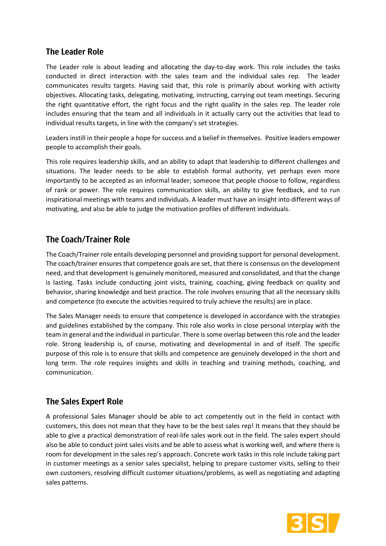### **The Leader Role**

The Leader role is about leading and allocating the day-to-day work. This role includes the tasks conducted in direct interaction with the sales team and the individual sales rep. The leader communicates results targets. Having said that, this role is primarily about working with activity objectives. Allocating tasks, delegating, motivating, instructing, carrying out team meetings. Securing the right quantitative effort, the right focus and the right quality in the sales rep. The leader role includes ensuring that the team and all individuals in it actually carry out the activities that lead to individual results targets, in line with the company's set strategies.

Leaders instill in their people a hope for success and a belief in themselves. Positive leaders empower people to accomplish their goals.

This role requires leadership skills, and an ability to adapt that leadership to different challenges and situations. The leader needs to be able to establish formal authority, yet perhaps even more importantly to be accepted as an informal leader; someone that people choose to follow, regardless of rank or power. The role requires communication skills, an ability to give feedback, and to run inspirational meetings with teams and individuals. A leader must have an insight into different ways of motivating, and also be able to judge the motivation profiles of different individuals.

## **The Coach/Trainer Role**

The Coach/Trainer role entails developing personnel and providing support for personal development. The coach/trainer ensures that competence goals are set, that there is consensus on the development need, and that development is genuinely monitored, measured and consolidated, and that the change is lasting. Tasks include conducting joint visits, training, coaching, giving feedback on quality and behavior, sharing knowledge and best practice. The role involves ensuring that all the necessary skills and competence (to execute the activities required to truly achieve the results) are in place.

The Sales Manager needs to ensure that competence is developed in accordance with the strategies and guidelines established by the company. This role also works in close personal interplay with the team in general and the individual in particular. There is some overlap between this role and the leader role. Strong leadership is, of course, motivating and developmental in and of itself. The specific purpose of this role is to ensure that skills and competence are genuinely developed in the short and long term. The role requires insights and skills in teaching and training methods, coaching, and communication.

### **The Sales Expert Role**

A professional Sales Manager should be able to act competently out in the field in contact with customers, this does not mean that they have to be the best sales rep! It means that they should be able to give a practical demonstration of real-life sales work out in the field. The sales expert should also be able to conduct joint sales visits and be able to assess what is working well, and where there is room for development in the sales rep's approach. Concrete work tasks in this role include taking part in customer meetings as a senior sales specialist, helping to prepare customer visits, selling to their own customers, resolving difficult customer situations/problems, as well as negotiating and adapting sales patterns.